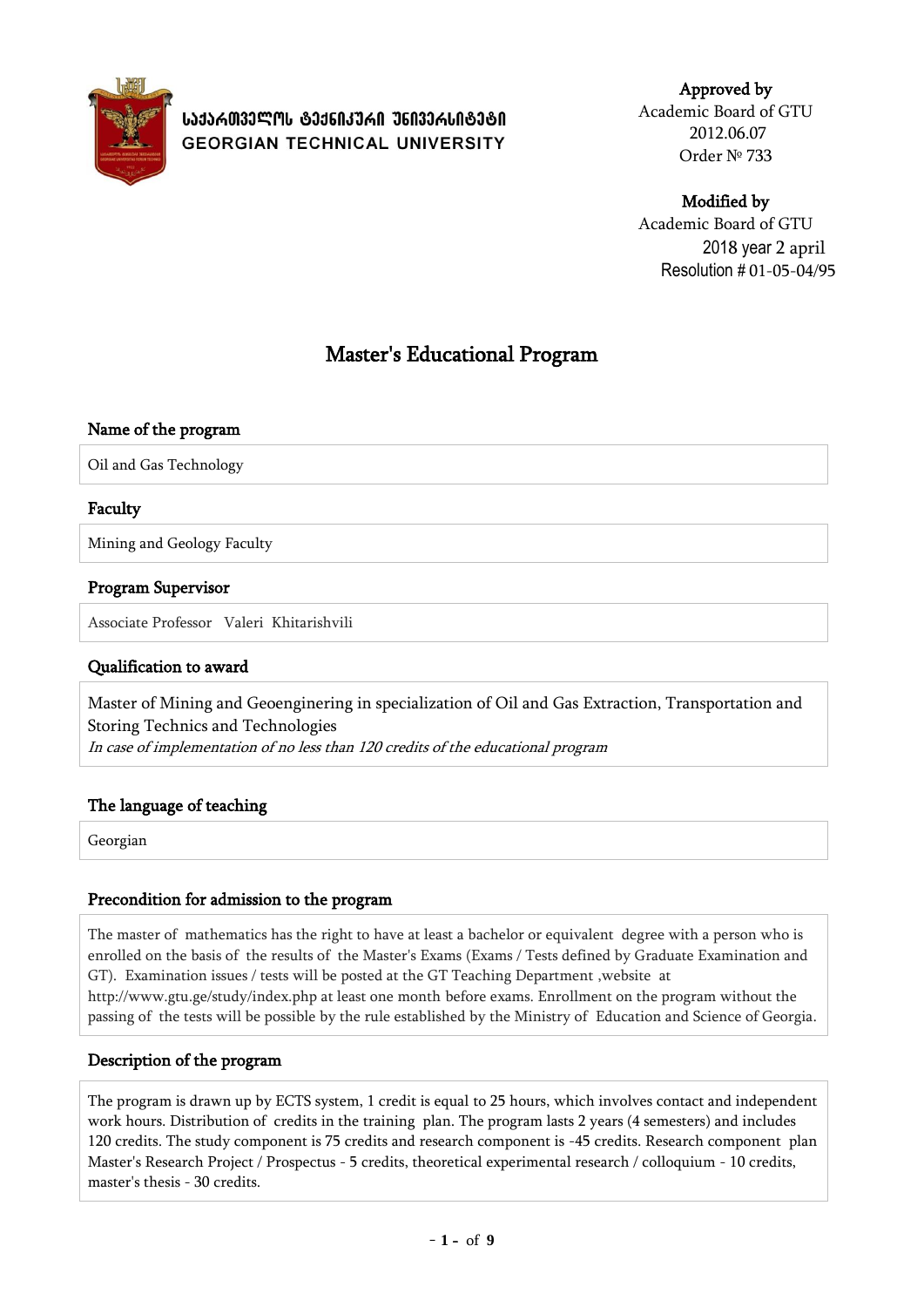

Approved by Academic Board of GTU 2012.06.07 Order № 733

# Modified by

Academic Board of GTU 2018 year 2 april Resolution # 01-05-04/95

# Master's Educational Program

### Name of the program

Oil and Gas Technology

### Faculty

Mining and Geology Faculty

### Program Supervisor

Associate Professor Valeri Khitarishvili

### Qualification to award

Master of Mining and Geoenginering in specialization of Oil and Gas Extraction, Transportation and Storing Technics and Technologies

In case of implementation of no less than 120 credits of the educational program

### The language of teaching

Georgian

### Precondition for admission to the program

The master of mathematics has the right to have at least a bachelor or equivalent degree with a person who is enrolled on the basis of the results of the Master's Exams (Exams / Tests defined by Graduate Examination and GT). Examination issues / tests will be posted at the GT Teaching Department ,website at http://www.gtu.ge/study/index.php at least one month before exams. Enrollment on the program without the passing of the tests will be possible by the rule established by the Ministry of Education and Science of Georgia.

### Description of the program

The program is drawn up by ECTS system, 1 credit is equal to 25 hours, which involves contact and independent work hours. Distribution of credits in the training plan. The program lasts 2 years (4 semesters) and includes 120 credits. The study component is 75 credits and research component is -45 credits. Research component plan Master's Research Project / Prospectus - 5 credits, theoretical experimental research / colloquium - 10 credits, master's thesis - 30 credits.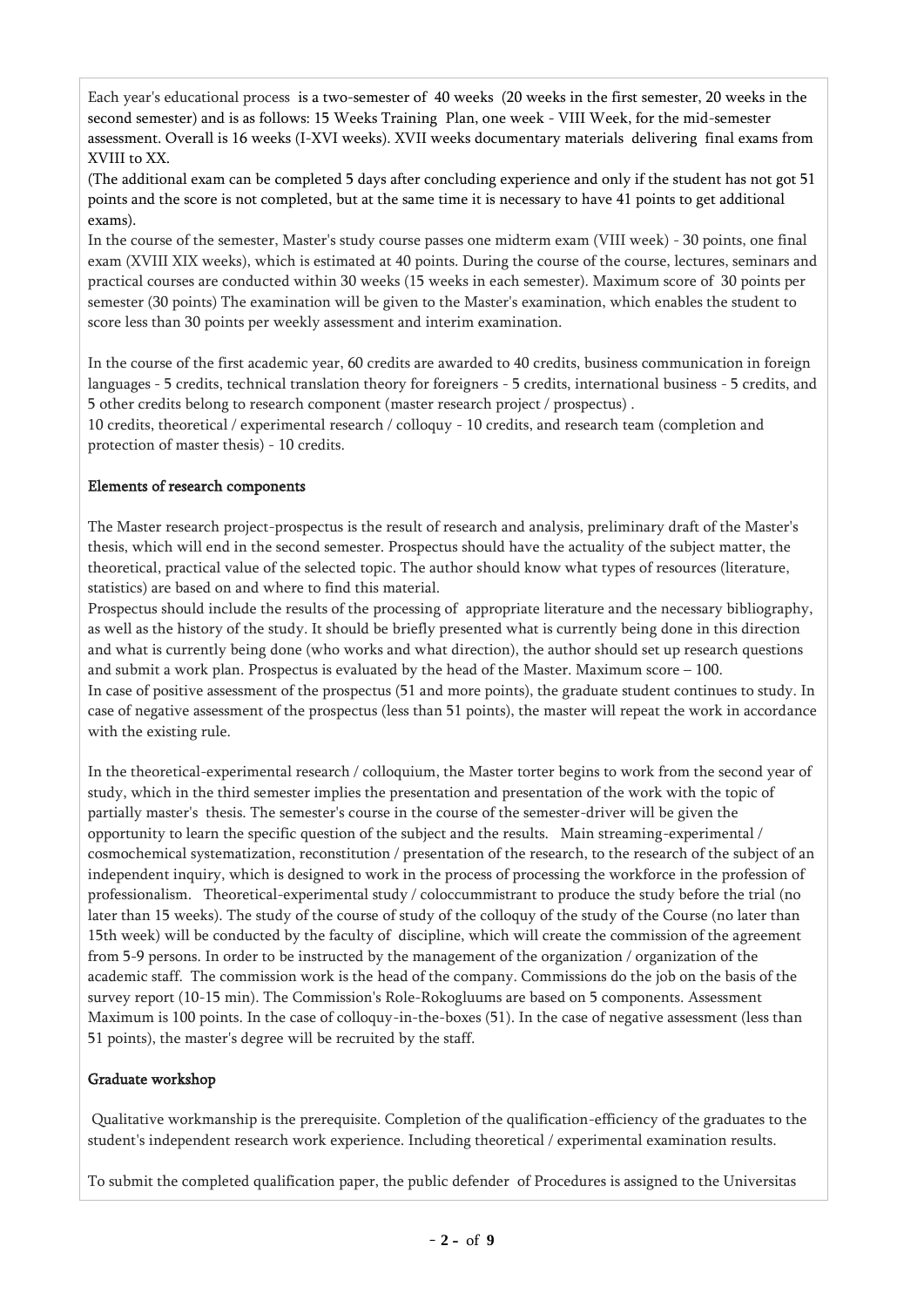Each year's educational process is a two-semester of 40 weeks (20 weeks in the first semester, 20 weeks in the second semester) and is as follows: 15 Weeks Training Plan, one week - VIII Week, for the mid-semester assessment. Overall is 16 weeks (I-XVI weeks). XVII weeks documentary materials delivering final exams from XVIII to XX.

(The additional exam can be completed 5 days after concluding experience and only if the student has not got 51 points and the score is not completed, but at the same time it is necessary to have 41 points to get additional exams).

In the course of the semester, Master's study course passes one midterm exam (VIII week) - 30 points, one final exam (XVIII XIX weeks), which is estimated at 40 points. During the course of the course, lectures, seminars and practical courses are conducted within 30 weeks (15 weeks in each semester). Maximum score of 30 points per semester (30 points) The examination will be given to the Master's examination, which enables the student to score less than 30 points per weekly assessment and interim examination.

In the course of the first academic year, 60 credits are awarded to 40 credits, business communication in foreign languages - 5 credits, technical translation theory for foreigners - 5 credits, international business - 5 credits, and 5 other credits belong to research component (master research project / prospectus) .

10 credits, theoretical / experimental research / colloquy - 10 credits, and research team (completion and protection of master thesis) - 10 credits.

### Elements of research components

The Master research project-prospectus is the result of research and analysis, preliminary draft of the Master's thesis, which will end in the second semester. Prospectus should have the actuality of the subject matter, the theoretical, practical value of the selected topic. The author should know what types of resources (literature, statistics) are based on and where to find this material.

Prospectus should include the results of the processing of appropriate literature and the necessary bibliography, as well as the history of the study. It should be briefly presented what is currently being done in this direction and what is currently being done (who works and what direction), the author should set up research questions and submit a work plan. Prospectus is evaluated by the head of the Master. Maximum score – 100. In case of positive assessment of the prospectus (51 and more points), the graduate student continues to study. In case of negative assessment of the prospectus (less than 51 points), the master will repeat the work in accordance with the existing rule.

In the theoretical-experimental research / colloquium, the Master torter begins to work from the second year of study, which in the third semester implies the presentation and presentation of the work with the topic of partially master's thesis. The semester's course in the course of the semester-driver will be given the opportunity to learn the specific question of the subject and the results. Main streaming-experimental / cosmochemical systematization, reconstitution / presentation of the research, to the research of the subject of an independent inquiry, which is designed to work in the process of processing the workforce in the profession of professionalism. Theoretical-experimental study / coloccummistrant to produce the study before the trial (no later than 15 weeks). The study of the course of study of the colloquy of the study of the Course (no later than 15th week) will be conducted by the faculty of discipline, which will create the commission of the agreement from 5-9 persons. In order to be instructed by the management of the organization / organization of the academic staff. The commission work is the head of the company. Commissions do the job on the basis of the survey report (10-15 min). The Commission's Role-Rokogluums are based on 5 components. Assessment Maximum is 100 points. In the case of colloquy-in-the-boxes (51). In the case of negative assessment (less than 51 points), the master's degree will be recruited by the staff.

#### Graduate workshop

Qualitative workmanship is the prerequisite. Completion of the qualification-efficiency of the graduates to the student's independent research work experience. Including theoretical / experimental examination results.

To submit the completed qualification paper, the public defender of Procedures is assigned to the Universitas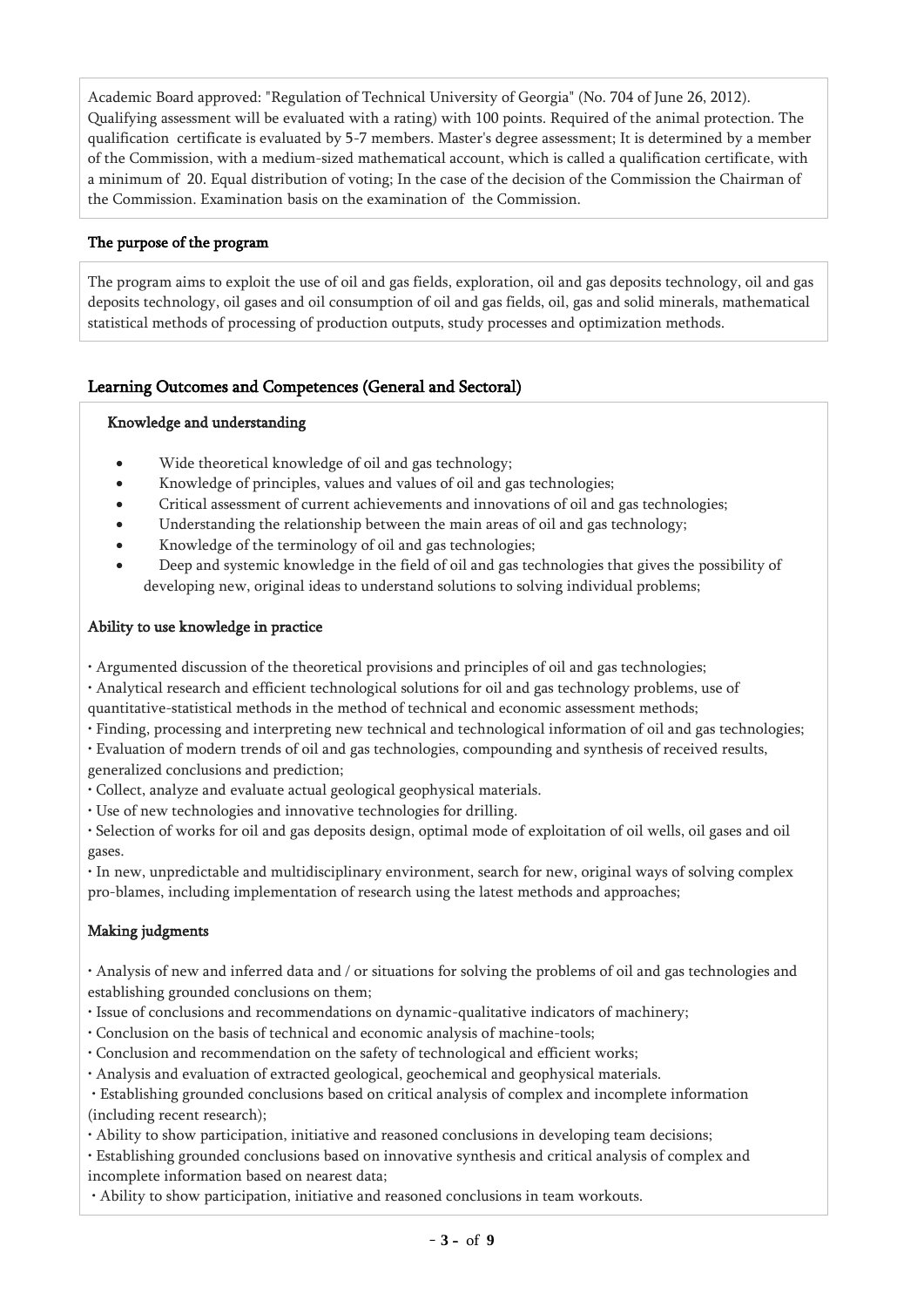Academic Board approved: "Regulation of Technical University of Georgia" (No. 704 of June 26, 2012). Qualifying assessment will be evaluated with a rating) with 100 points. Required of the animal protection. The qualification certificate is evaluated by 5-7 members. Master's degree assessment; It is determined by a member of the Commission, with a medium-sized mathematical account, which is called a qualification certificate, with a minimum of 20. Equal distribution of voting; In the case of the decision of the Commission the Chairman of the Commission. Examination basis on the examination of the Commission.

### The purpose of the program

The program aims to exploit the use of oil and gas fields, exploration, oil and gas deposits technology, oil and gas deposits technology, oil gases and oil consumption of oil and gas fields, oil, gas and solid minerals, mathematical statistical methods of processing of production outputs, study processes and optimization methods.

### Learning Outcomes and Competences (General and Sectoral)

#### Knowledge and understanding

- Wide theoretical knowledge of oil and gas technology;
- Knowledge of principles, values and values of oil and gas technologies;
- Critical assessment of current achievements and innovations of oil and gas technologies;
- Understanding the relationship between the main areas of oil and gas technology;
- Knowledge of the terminology of oil and gas technologies;
- Deep and systemic knowledge in the field of oil and gas technologies that gives the possibility of developing new, original ideas to understand solutions to solving individual problems;

#### Ability to use knowledge in practice

- Argumented discussion of the theoretical provisions and principles of oil and gas technologies;
- Analytical research and efficient technological solutions for oil and gas technology problems, use of
- quantitative-statistical methods in the method of technical and economic assessment methods;
- Finding, processing and interpreting new technical and technological information of oil and gas technologies;
- Evaluation of modern trends of oil and gas technologies, compounding and synthesis of received results,

generalized conclusions and prediction;

- Collect, analyze and evaluate actual geological geophysical materials.
- Use of new technologies and innovative technologies for drilling.
- Selection of works for oil and gas deposits design, optimal mode of exploitation of oil wells, oil gases and oil gases.

• In new, unpredictable and multidisciplinary environment, search for new, original ways of solving complex pro-blames, including implementation of research using the latest methods and approaches;

# Making judgments

• Analysis of new and inferred data and / or situations for solving the problems of oil and gas technologies and establishing grounded conclusions on them;

- Issue of conclusions and recommendations on dynamic-qualitative indicators of machinery;
- Conclusion on the basis of technical and economic analysis of machine-tools;
- Conclusion and recommendation on the safety of technological and efficient works;
- Analysis and evaluation of extracted geological, geochemical and geophysical materials.

• Establishing grounded conclusions based on critical analysis of complex and incomplete information (including recent research);

- Ability to show participation, initiative and reasoned conclusions in developing team decisions;
- Establishing grounded conclusions based on innovative synthesis and critical analysis of complex and incomplete information based on nearest data;
- Ability to show participation, initiative and reasoned conclusions in team workouts.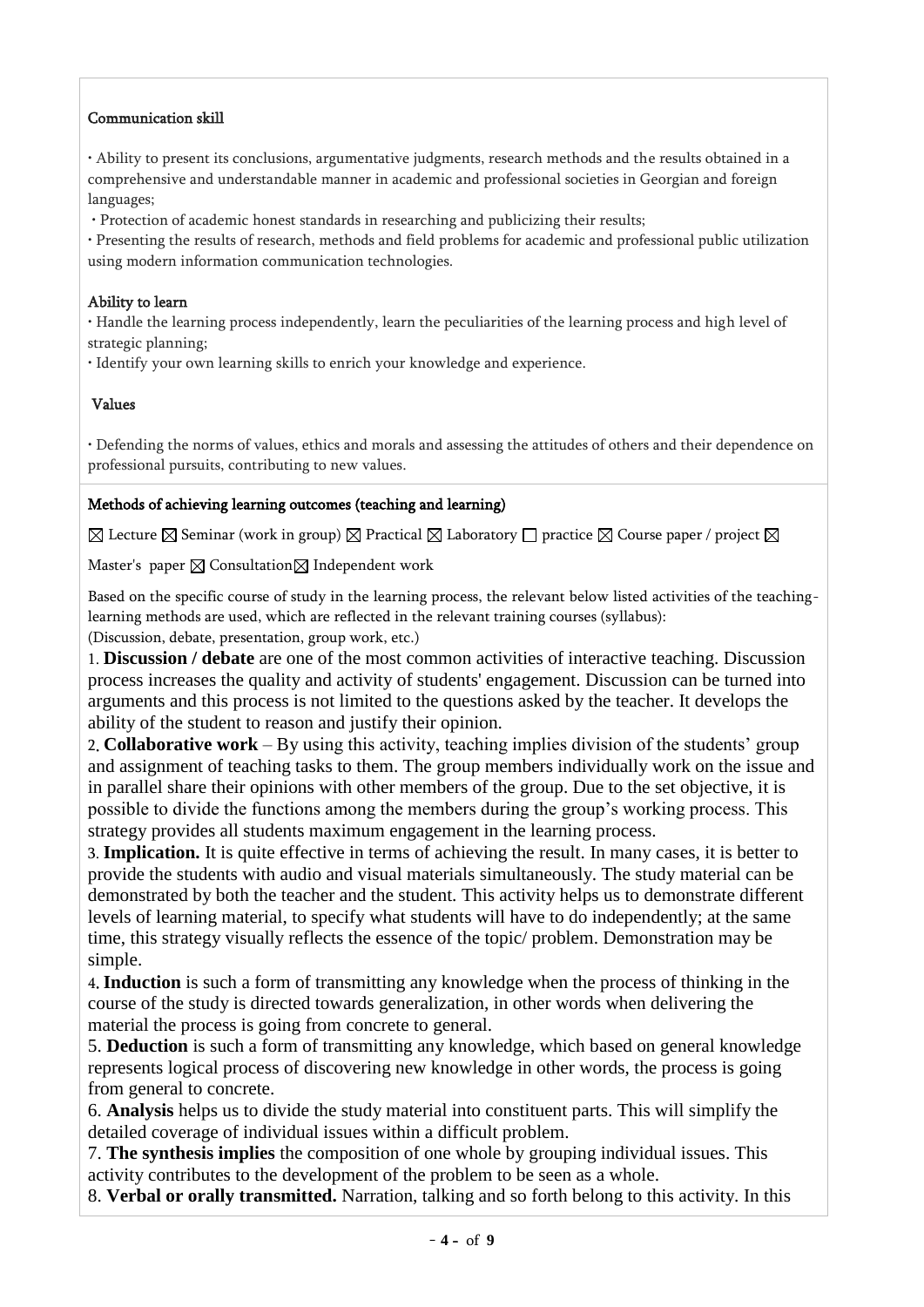## Communication skill

• Ability to present its conclusions, argumentative judgments, research methods and the results obtained in a comprehensive and understandable manner in academic and professional societies in Georgian and foreign languages;

• Protection of academic honest standards in researching and publicizing their results;

• Presenting the results of research, methods and field problems for academic and professional public utilization using modern information communication technologies.

### Ability to learn

• Handle the learning process independently, learn the peculiarities of the learning process and high level of strategic planning;

• Identify your own learning skills to enrich your knowledge and experience.

### Values

• Defending the norms of values, ethics and morals and assessing the attitudes of others and their dependence on professional pursuits, contributing to new values.

### Methods of achieving learning outcomes (teaching and learning)

 $\boxtimes$  Lecture  $\boxtimes$  Seminar (work in group)  $\boxtimes$  Practical  $\boxtimes$  Laboratory  $\Box$  practice  $\boxtimes$  Course paper / project  $\boxtimes$ 

Master's paper  $\boxtimes$  Consultation  $\boxtimes$  Independent work

Based on the specific course of study in the learning process, the relevant below listed activities of the teachinglearning methods are used, which are reflected in the relevant training courses (syllabus):

(Discussion, debate, presentation, group work, etc.)

1. **Discussion / debate** are one of the most common activities of interactive teaching. Discussion process increases the quality and activity of students' engagement. Discussion can be turned into arguments and this process is not limited to the questions asked by the teacher. It develops the ability of the student to reason and justify their opinion.

2. **Collaborative work** – By using this activity, teaching implies division of the students' group and assignment of teaching tasks to them. The group members individually work on the issue and in parallel share their opinions with other members of the group. Due to the set objective, it is possible to divide the functions among the members during the group's working process. This strategy provides all students maximum engagement in the learning process.

3. **Implication.** It is quite effective in terms of achieving the result. In many cases, it is better to provide the students with audio and visual materials simultaneously. The study material can be demonstrated by both the teacher and the student. This activity helps us to demonstrate different levels of learning material, to specify what students will have to do independently; at the same time, this strategy visually reflects the essence of the topic/ problem. Demonstration may be simple.

4. **Induction** is such a form of transmitting any knowledge when the process of thinking in the course of the study is directed towards generalization, in other words when delivering the material the process is going from concrete to general.

5. **Deduction** is such a form of transmitting any knowledge, which based on general knowledge represents logical process of discovering new knowledge in other words, the process is going from general to concrete.

6. **Analysis** helps us to divide the study material into constituent parts. This will simplify the detailed coverage of individual issues within a difficult problem.

7. **The synthesis implies** the composition of one whole by grouping individual issues. This activity contributes to the development of the problem to be seen as a whole.

8. **Verbal or orally transmitted.** Narration, talking and so forth belong to this activity. In this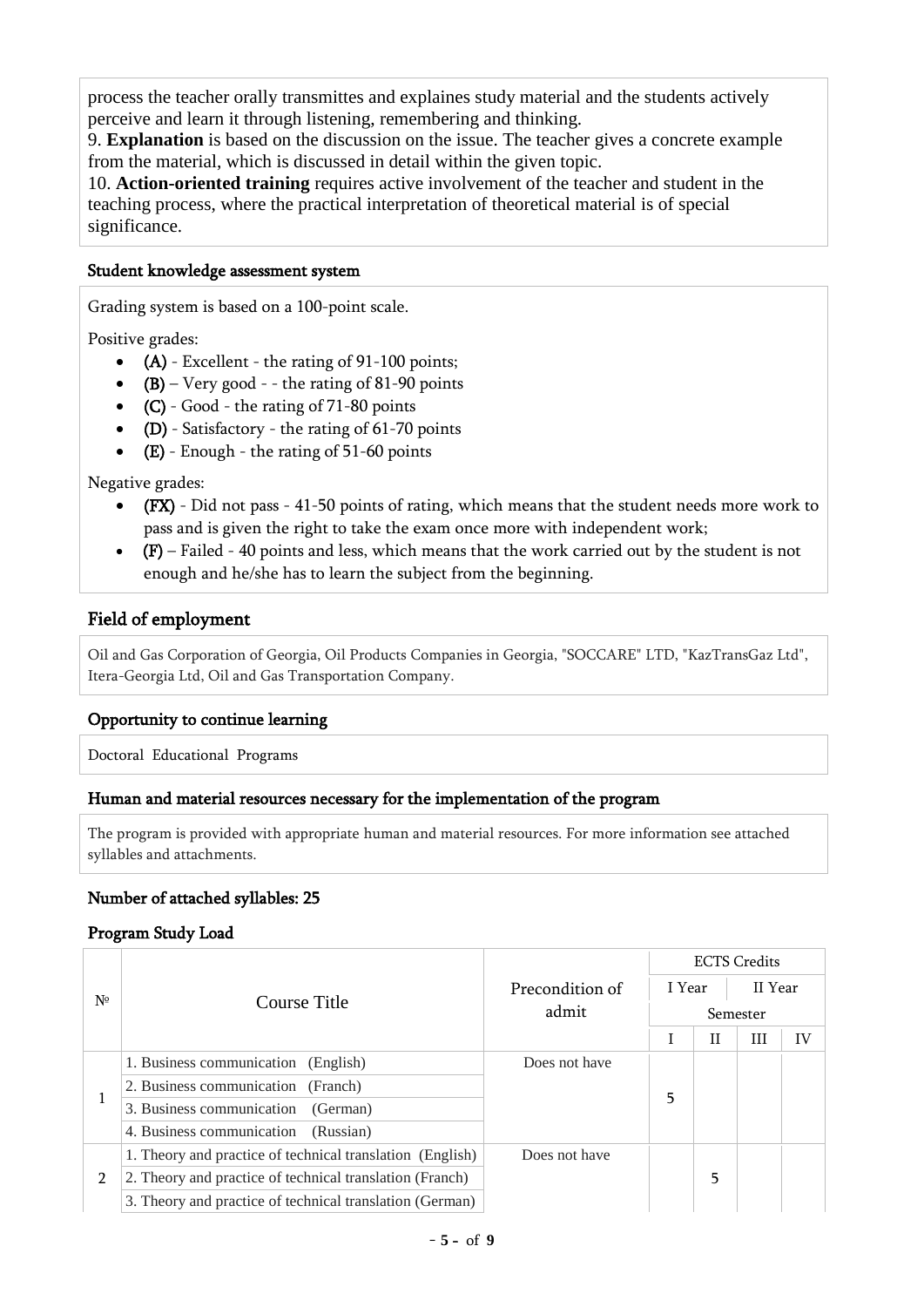process the teacher orally transmittes and explaines study material and the students actively perceive and learn it through listening, remembering and thinking.

9. **Explanation** is based on the discussion on the issue. The teacher gives a concrete example from the material, which is discussed in detail within the given topic.

10. **Action-oriented training** requires active involvement of the teacher and student in the teaching process, where the practical interpretation of theoretical material is of special significance.

### Student knowledge assessment system

Grading system is based on a 100-point scale.

Positive grades:

- (A) Excellent the rating of 91-100 points;
- $(B)$  Very good - the rating of 81-90 points
- $(C)$  Good the rating of 71-80 points
- (D) Satisfactory the rating of  $61-70$  points
- $\bullet$  (E) Enough the rating of 51-60 points

Negative grades:

- (FX) Did not pass 41-50 points of rating, which means that the student needs more work to pass and is given the right to take the exam once more with independent work;
- $\bullet$  (F) Failed 40 points and less, which means that the work carried out by the student is not enough and he/she has to learn the subject from the beginning.

### Field of employment

Oil and Gas Corporation of Georgia, Oil Products Companies in Georgia, "SOCCARE" LTD, "KazTransGaz Ltd", Itera-Georgia Ltd, Oil and Gas Transportation Company.

### Opportunity to continue learning

Doctoral Educational Programs

#### Human and material resources necessary for the implementation of the program

The program is provided with appropriate human and material resources. For more information see attached syllables and attachments.

### Number of attached syllables: 25

#### Program Study Load

|                |                                                           |                 | <b>ECTS</b> Credits |              |   |    |  |  |
|----------------|-----------------------------------------------------------|-----------------|---------------------|--------------|---|----|--|--|
| Nº             |                                                           | Precondition of | I Year              | II Year      |   |    |  |  |
|                | Course Title                                              | admit           | Semester            |              |   |    |  |  |
|                |                                                           |                 |                     | $\mathbf{H}$ | Ш | IV |  |  |
|                | 1. Business communication<br>(English)                    | Does not have   |                     |              |   |    |  |  |
|                | 2. Business communication (Franch)                        |                 | 5                   |              |   |    |  |  |
| 1              | 3. Business communication<br>(German)                     |                 |                     |              |   |    |  |  |
|                | 4. Business communication<br>(Russian)                    |                 |                     |              |   |    |  |  |
| $\overline{2}$ | 1. Theory and practice of technical translation (English) | Does not have   |                     |              |   |    |  |  |
|                | 2. Theory and practice of technical translation (Franch)  |                 |                     | 5            |   |    |  |  |
|                | 3. Theory and practice of technical translation (German)  |                 |                     |              |   |    |  |  |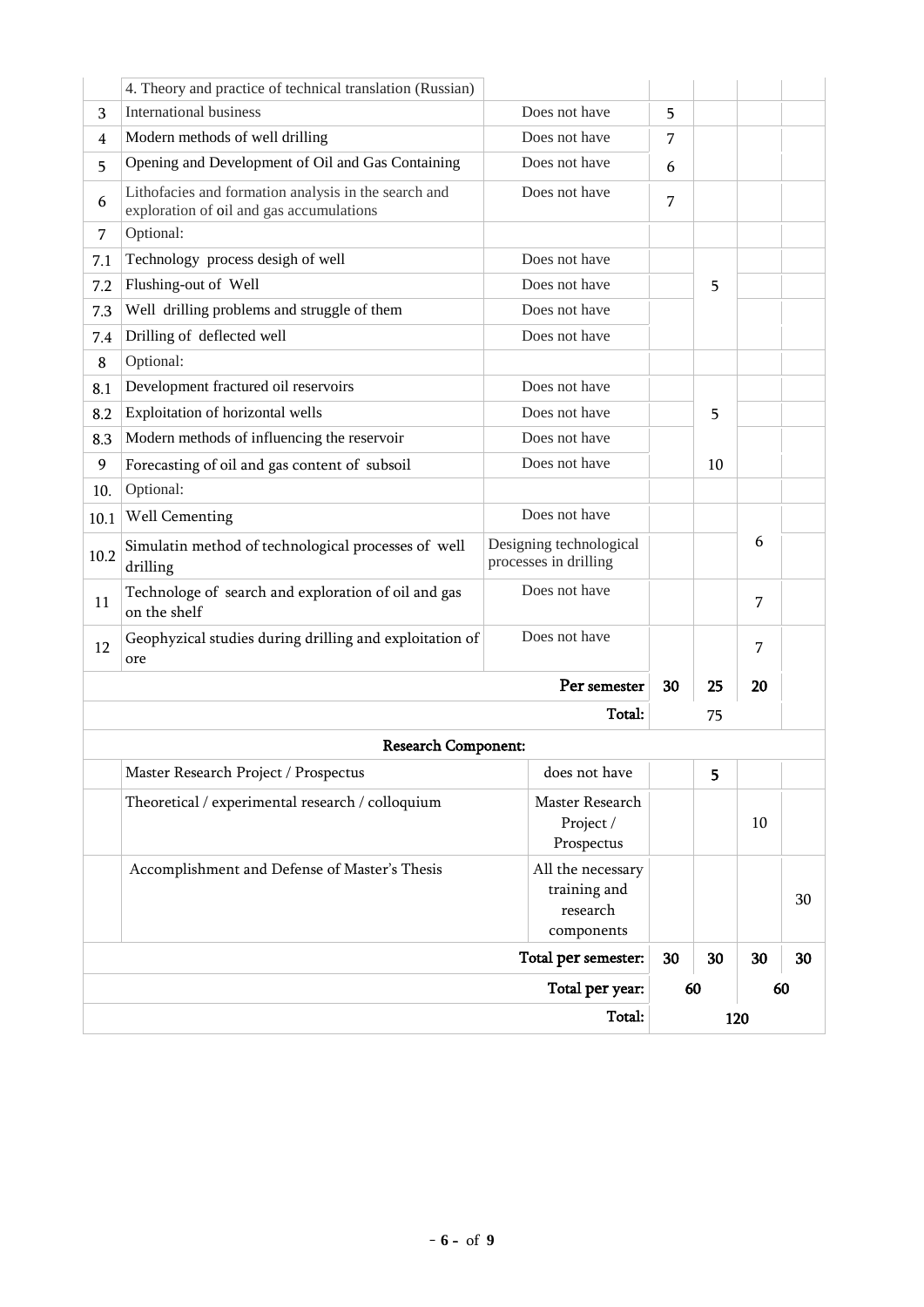|          |                                                                                                               |                                                                 |    | 120 |    |    |  |  |
|----------|---------------------------------------------------------------------------------------------------------------|-----------------------------------------------------------------|----|-----|----|----|--|--|
|          |                                                                                                               | Total per year:                                                 |    | 60  | 60 |    |  |  |
|          |                                                                                                               | 30                                                              | 30 | 30  | 30 |    |  |  |
|          | Accomplishment and Defense of Master's Thesis                                                                 | training and<br>research<br>components<br>Total per semester:   |    |     |    | 30 |  |  |
|          | Theoretical / experimental research / colloquium                                                              | Master Research<br>Project /<br>Prospectus<br>All the necessary |    |     | 10 |    |  |  |
|          | Master Research Project / Prospectus                                                                          | does not have                                                   |    | 5   |    |    |  |  |
|          | <b>Research Component:</b>                                                                                    |                                                                 |    |     |    |    |  |  |
|          |                                                                                                               | Total:                                                          |    | 75  |    |    |  |  |
|          |                                                                                                               | 30                                                              | 25 | 20  |    |    |  |  |
| 12       | Geophyzical studies during drilling and exploitation of<br>ore                                                | Does not have                                                   |    |     | 7  |    |  |  |
| 11       | Technologe of search and exploration of oil and gas<br>on the shelf                                           | Does not have                                                   |    |     | 7  |    |  |  |
| 10.2     | Simulatin method of technological processes of well<br>drilling                                               | Designing technological<br>processes in drilling                |    |     | 6  |    |  |  |
| 10.1     | <b>Well Cementing</b>                                                                                         | Does not have                                                   |    |     |    |    |  |  |
| 10.      | Optional:                                                                                                     |                                                                 |    |     |    |    |  |  |
| 9        | Forecasting of oil and gas content of subsoil                                                                 | Does not have                                                   |    | 10  |    |    |  |  |
| 8.3      | Modern methods of influencing the reservoir                                                                   | Does not have                                                   |    |     |    |    |  |  |
| 8.2      | Exploitation of horizontal wells                                                                              | Does not have                                                   |    | 5   |    |    |  |  |
| 8.1      | Development fractured oil reservoirs                                                                          | Does not have                                                   |    |     |    |    |  |  |
| 8        | Optional:                                                                                                     |                                                                 |    |     |    |    |  |  |
| 7.4      | Drilling of deflected well                                                                                    | Does not have                                                   |    |     |    |    |  |  |
| 7.3      | Well drilling problems and struggle of them                                                                   | Does not have                                                   |    |     |    |    |  |  |
| 7.2      | Flushing-out of Well                                                                                          | Does not have                                                   |    | 5   |    |    |  |  |
| 7<br>7.1 | Technology process desigh of well                                                                             | Does not have                                                   |    |     |    |    |  |  |
| 6        | Lithofacies and formation analysis in the search and<br>exploration of oil and gas accumulations<br>Optional: | Does not have                                                   |    |     |    |    |  |  |
| 5        | Opening and Development of Oil and Gas Containing                                                             | Does not have                                                   |    |     |    |    |  |  |
| 4        | Modern methods of well drilling                                                                               | Does not have                                                   | 7  |     |    |    |  |  |
| 3        | <b>International business</b>                                                                                 | Does not have                                                   | 5  |     |    |    |  |  |
|          | 4. Theory and practice of technical translation (Russian)                                                     |                                                                 |    |     |    |    |  |  |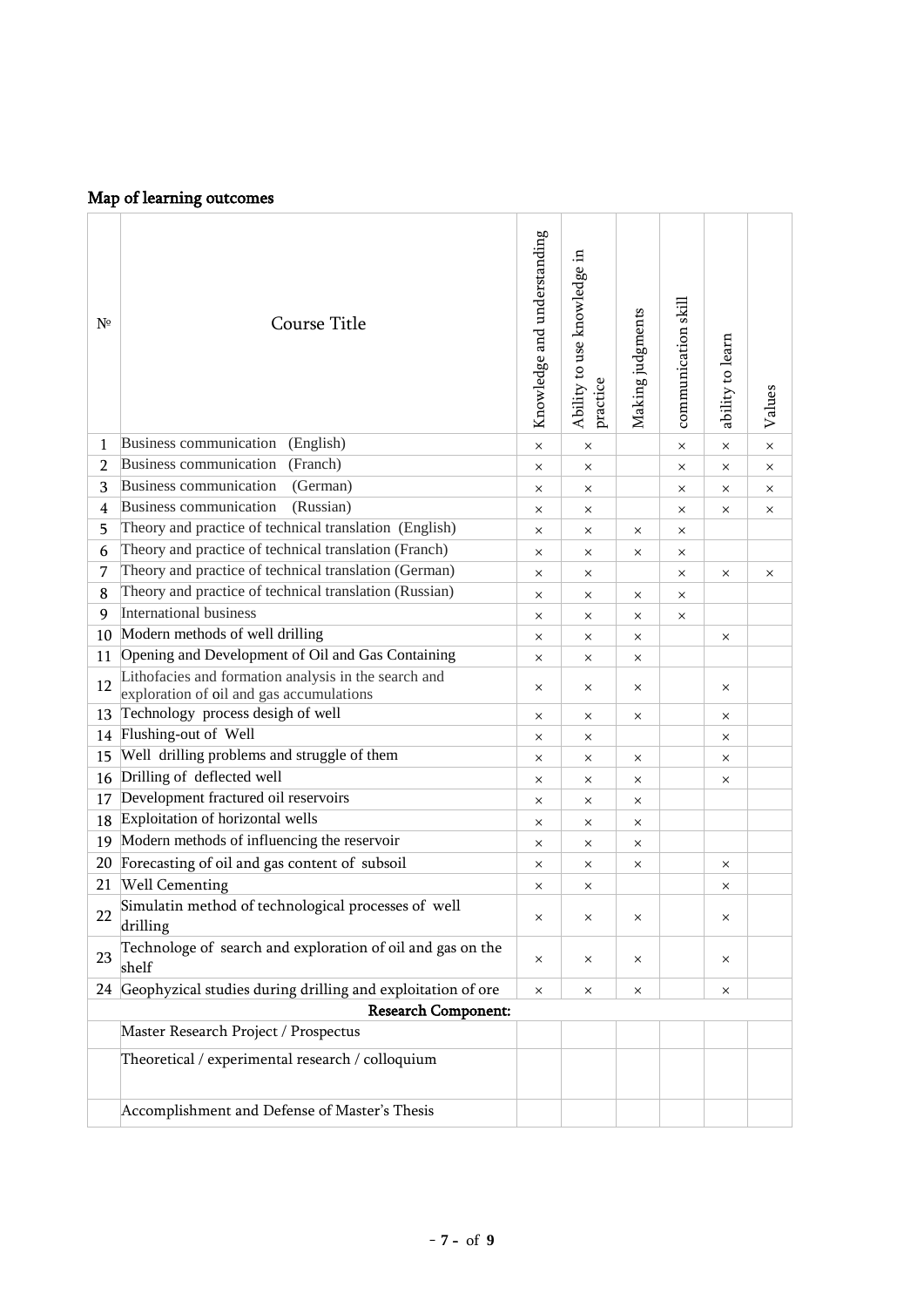# Map of learning outcomes

| Nº             | Course Title                                                                                     | Knowledge and understanding | Ability to use knowledge in<br>practice | Making judgments | communication skill | ability to learn | Values   |
|----------------|--------------------------------------------------------------------------------------------------|-----------------------------|-----------------------------------------|------------------|---------------------|------------------|----------|
| 1              | Business communication<br>(English)                                                              | $\times$                    | $\times$                                |                  | $\times$            | $\times$         | $\times$ |
| $\overline{2}$ | Business communication<br>(Franch)                                                               | $\times$                    | $\times$                                |                  | $\times$            | $\times$         | ×        |
| 3              | Business communication<br>(German)                                                               | $\times$                    | $\times$                                |                  | $\times$            | $\times$         | ×        |
| 4              | Business communication<br>(Russian)                                                              | ×                           | $\times$                                |                  | ×                   | $\times$         | ×        |
| 5              | Theory and practice of technical translation (English)                                           | $\times$                    | $\times$                                | $\times$         | X                   |                  |          |
| 6              | Theory and practice of technical translation (Franch)                                            | X                           | $\times$                                | X                | X                   |                  |          |
| 7              | Theory and practice of technical translation (German)                                            | $\times$                    | $\times$                                |                  | $\times$            | $\times$         | X        |
| 8              | Theory and practice of technical translation (Russian)                                           | $\times$                    | $\times$                                | $\times$         | $\times$            |                  |          |
| 9              | International business                                                                           | $\times$                    | $\times$                                | X                | $\times$            |                  |          |
| 10             | Modern methods of well drilling                                                                  | $\times$                    | $\times$                                | $\times$         |                     | X                |          |
| 11             | Opening and Development of Oil and Gas Containing                                                | ×                           | $\times$                                | ×                |                     |                  |          |
| 12             | Lithofacies and formation analysis in the search and<br>exploration of oil and gas accumulations | $\times$                    | $\times$                                | X                |                     | X                |          |
| 13             | Technology process desigh of well                                                                | ×                           | $\times$                                | $\times$         |                     | ×                |          |
| 14             | Flushing-out of Well                                                                             | $\times$                    | $\times$                                |                  |                     | $\times$         |          |
| 15             | Well drilling problems and struggle of them                                                      | $\times$                    | $\times$                                | $\times$         |                     | $\times$         |          |
| 16             | Drilling of deflected well                                                                       | ×                           | $\times$                                | ×                |                     | ×                |          |
| 17             | Development fractured oil reservoirs                                                             | ×                           | $\times$                                | ×                |                     |                  |          |
| 18             | Exploitation of horizontal wells                                                                 | $\times$                    | $\times$                                | X                |                     |                  |          |
| 19             | Modern methods of influencing the reservoir                                                      | ×                           | $\times$                                | $\times$         |                     |                  |          |
| 20             | Forecasting of oil and gas content of subsoil                                                    | ×                           | $\times$                                | X                |                     | ×                |          |
| 21             | <b>Well Cementing</b>                                                                            | ×                           | $\times$                                |                  |                     | $\times$         |          |
| 22             | Simulatin method of technological processes of well<br>drilling                                  | ×                           | $\times$                                | $\times$         |                     | ×                |          |
| 23             | Technologe of search and exploration of oil and gas on the<br>shelf                              | ×                           | $\times$                                | ×                |                     | ×                |          |
| 24             | Geophyzical studies during drilling and exploitation of ore                                      | ×                           | $\times$                                | $\times$         |                     | ×                |          |
|                | <b>Research Component:</b>                                                                       |                             |                                         |                  |                     |                  |          |
|                | Master Research Project / Prospectus                                                             |                             |                                         |                  |                     |                  |          |
|                |                                                                                                  |                             |                                         |                  |                     |                  |          |
|                | Theoretical / experimental research / colloquium                                                 |                             |                                         |                  |                     |                  |          |
|                | Accomplishment and Defense of Master's Thesis                                                    |                             |                                         |                  |                     |                  |          |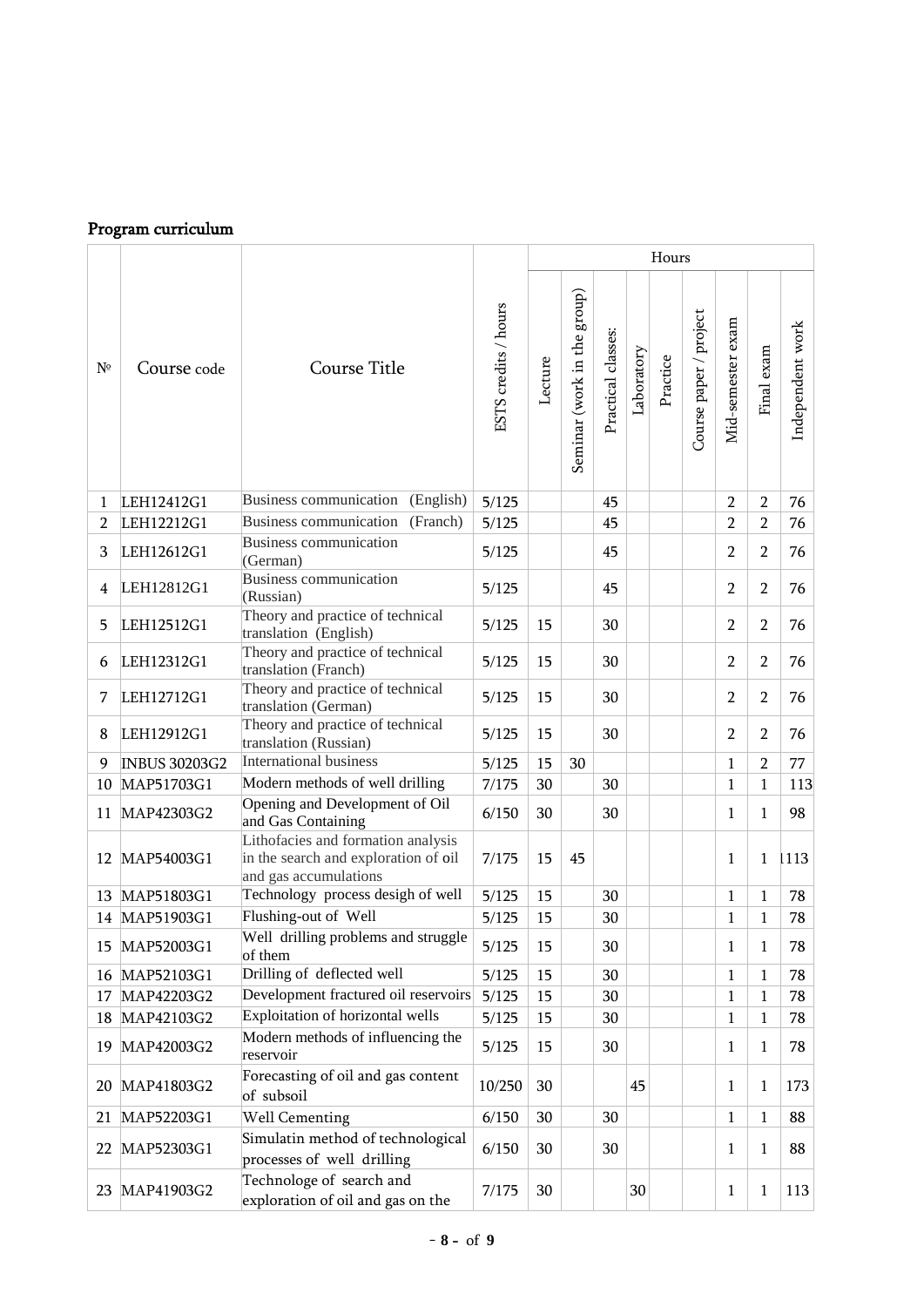# Program curriculum

|                |                      |                                                                                                     |                      | Hours   |                             |                    |            |          |                        |                   |                |                  |
|----------------|----------------------|-----------------------------------------------------------------------------------------------------|----------------------|---------|-----------------------------|--------------------|------------|----------|------------------------|-------------------|----------------|------------------|
| $N^{\circ}$    | Course code          | Course Title                                                                                        | ESTS credits / hours | Lecture | Seminar (work in the group) | Practical classes: | Laboratory | Practice | Course paper / project | Mid-semester exam | Final exam     | Independent work |
| 1              | LEH12412G1           | Business communication (English)                                                                    | 5/125                |         |                             | 45                 |            |          |                        | $\overline{2}$    | $\overline{2}$ | 76               |
| $\overline{2}$ | LEH12212G1           | Business communication<br>(Franch)                                                                  | 5/125                |         |                             | 45                 |            |          |                        | $\overline{2}$    | $\overline{2}$ | 76               |
| 3              | LEH12612G1           | <b>Business communication</b><br>(German)                                                           | 5/125                |         |                             | 45                 |            |          |                        | $\overline{2}$    | $\overline{2}$ | 76               |
| 4              | LEH12812G1           | Business communication<br>(Russian)                                                                 | 5/125                |         |                             | 45                 |            |          |                        | $\overline{2}$    | $\overline{2}$ | 76               |
| 5              | LEH12512G1           | Theory and practice of technical<br>translation (English)                                           | 5/125                | 15      |                             | 30                 |            |          |                        | $\overline{2}$    | $\overline{2}$ | 76               |
| 6              | LEH12312G1           | Theory and practice of technical<br>translation (Franch)                                            | 5/125                | 15      |                             | 30                 |            |          |                        | $\overline{2}$    | $\overline{2}$ | 76               |
| 7              | LEH12712G1           | Theory and practice of technical<br>translation (German)                                            | 5/125                | 15      |                             | 30                 |            |          |                        | $\overline{2}$    | $\overline{2}$ | 76               |
| 8              | LEH12912G1           | Theory and practice of technical<br>translation (Russian)                                           | 5/125                | 15      |                             | 30                 |            |          |                        | $\overline{2}$    | $\overline{2}$ | 76               |
| 9              | <b>INBUS 30203G2</b> | International business                                                                              | 5/125                | 15      | 30                          |                    |            |          |                        | $\mathbf{1}$      | $\overline{2}$ | 77               |
| 10             | MAP51703G1           | Modern methods of well drilling                                                                     | 7/175                | 30      |                             | 30                 |            |          |                        | $\mathbf{1}$      | $\mathbf{1}$   | 113              |
| 11             | MAP42303G2           | Opening and Development of Oil<br>and Gas Containing                                                | 6/150                | 30      |                             | 30                 |            |          |                        | $\mathbf{1}$      | $\mathbf{1}$   | 98               |
| 12             | MAP54003G1           | Lithofacies and formation analysis<br>in the search and exploration of oil<br>and gas accumulations | 7/175                | 15      | 45                          |                    |            |          |                        | $\mathbf{1}$      | $\mathbf{1}$   | 1113             |
| 13             | MAP51803G1           | Technology process desigh of well                                                                   | 5/125                | 15      |                             | 30                 |            |          |                        | 1                 | 1              | 78               |
|                | 14 MAP51903G1        | Flushing-out of Well                                                                                | 5/125                | 15      |                             | 30                 |            |          |                        | $\mathbf{1}$      | 1              | 78               |
| 15             | MAP52003G1           | Well drilling problems and struggle<br>of them                                                      | 5/125                | 15      |                             | 30                 |            |          |                        | 1                 | 1              | 78               |
| 16             | MAP52103G1           | Drilling of deflected well                                                                          | 5/125                | 15      |                             | 30                 |            |          |                        | $\mathbf{1}$      | $\mathbf{1}$   | 78               |
| 17             | MAP42203G2           | Development fractured oil reservoirs                                                                | 5/125                | 15      |                             | 30                 |            |          |                        | $\mathbf 1$       | 1              | 78               |
| 18             | MAP42103G2           | Exploitation of horizontal wells                                                                    | 5/125                | 15      |                             | 30                 |            |          |                        | $\mathbf{1}$      | 1              | 78               |
| 19             | MAP42003G2           | Modern methods of influencing the<br>reservoir                                                      | 5/125                | 15      |                             | 30                 |            |          |                        | 1                 | 1              | 78               |
| 20             | MAP41803G2           | Forecasting of oil and gas content<br>of subsoil                                                    | 10/250               | 30      |                             |                    | 45         |          |                        | 1                 | 1              | 173              |
| 21             | MAP52203G1           | <b>Well Cementing</b>                                                                               | 6/150                | 30      |                             | 30                 |            |          |                        | $\mathbf 1$       | 1              | 88               |
| 22             | MAP52303G1           | Simulatin method of technological<br>processes of well drilling                                     | 6/150                | 30      |                             | 30                 |            |          |                        | $\mathbf{1}$      | 1              | 88               |
| 23             | MAP41903G2           | Technologe of search and<br>exploration of oil and gas on the                                       | 7/175                | 30      |                             |                    | 30         |          |                        | $\mathbf{1}$      | 1              | 113              |